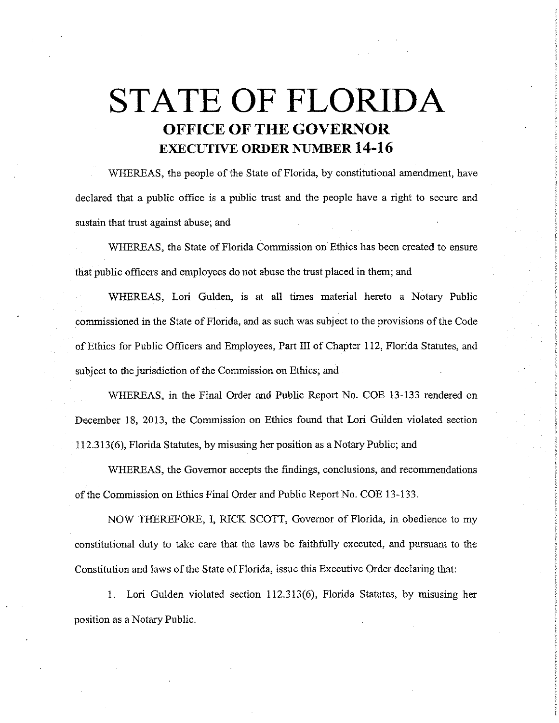## **STATE OF FLORIDA OFFICE OF THE GOVERNOR EXECUTIVE ORDER NUMBER 14-16**

WHEREAS, the people of the State of Florida, by constitutional amendment, have declared that a public office is a public trust and the people have a right to secure and sustain that trust against abuse; and

WHEREAS, the State of Florida Commission on Ethics has been created to ensure that public officers and employees do not abuse the trust placed in them; and

WHEREAS, Lori Gulden, is at all times material hereto a Notary Public commissioned in the State of Florida, and as such was subject to the provisions of the Code of Ethics for Public Officers and Employees, Part III of Chapter 112, Florida Statutes, and subject to the jurisdiction of the Commission on Ethics; and

WHEREAS, in the Final Order and Public Report No. COE 13-133 rendered on December 18, 2013, the Commission on Ethics found that Lori Gulden violated section 112.313(6), Florida Statutes, by misusing her position as a Notary Public; and

WHEREAS, the Governor accepts the findings, conclusions, and recommendations of the Commission on Ethics Final Order and Public Report No. COE 13-133.

NOW THEREFORE, I, RICK SCOTT, Governor of Florida, in obedience to my constitutional duty to take care that the laws be faithfully executed, and pursuant to the Constitution and laws of the State of Florida, issue this Executive Order declaring that:

1. Lori Gulden violated section 112.313(6), Florida Statutes, by misusing her position as a Notary Public.